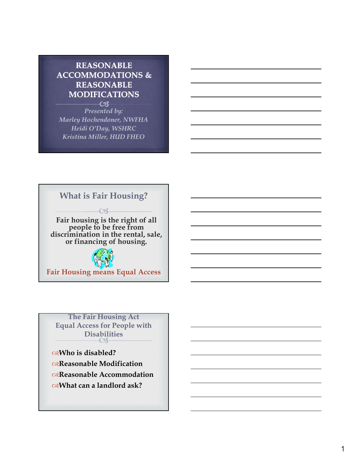## **REASONABLE ACCOMMODATIONS & REASONABLE MODIFICATIONS**

 $C3$ *Presented by: Marley Hochendoner, NWFHA Heidi O'Day, WSHRC Kristina Miller, HUD FHEO*

## **What is Fair Housing?**

 $CZ$ 

**Fair housing is the right of all people to be free from discrimination in the rental, sale, or financing of housing.**



**Fair Housing means Equal Access**

 $62$ **The Fair Housing Act Equal Access for People with Disabilities** 

**Who is disabled? Reasonable Modification Reasonable Accommodation What can a landlord ask?**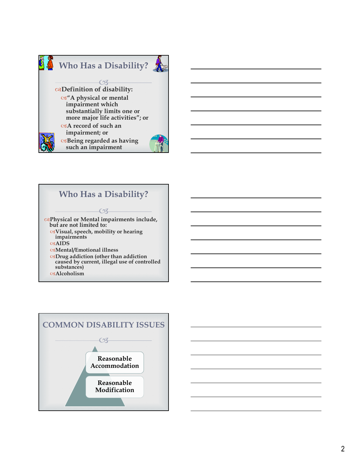



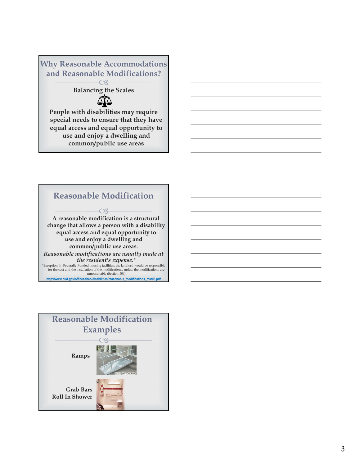

**equal access and equal opportunity to use and enjoy a dwelling and common/public use areas**



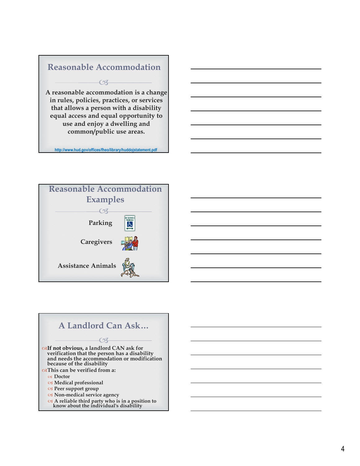## $CZ$ **Reasonable Accommodation A reasonable accommodation is a change in rules, policies, practices, or services that allows a person with a disability equal access and equal opportunity to use and enjoy a dwelling and common/public use areas.**

**http://www.hud.gov/offices/fheo/library/huddojstatement.pdf**





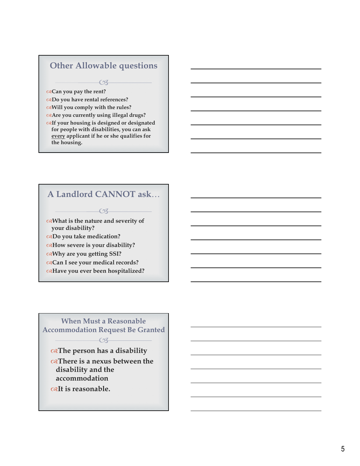## **Other Allowable questions**

 $CZ$ 

**Can you pay the rent?** 

**Do you have rental references?**

**Will you comply with the rules?** 

**Are you currently using illegal drugs?**

**If your housing is designed or designated for people with disabilities, you can ask every applicant if he or she qualifies for the housing.**

## **A Landlord CANNOT ask** …

 $O<sub>4</sub>$ 

**What is the nature and severity of your disability? Do you take medication? How severe is your disability?**

**Why are you getting SSI?** 

- **Can I see your medical records?**
- **Have you ever been hospitalized?**

## **When Must a Reasonable Accommodation Request Be Granted**

 $\overline{\mathcal{C}}$ 

**The person has a disability**

**There is a nexus between the disability and the accommodation It is reasonable.**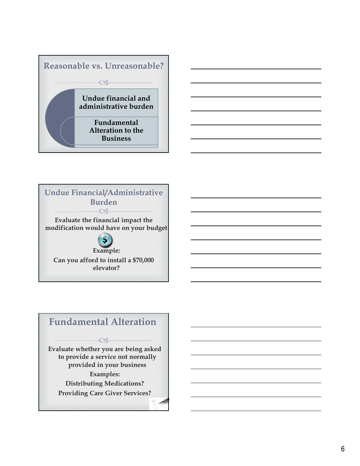





# **Fundamental Alteration**

 $CZ$ 

**Evaluate whether you are being asked to provide a service not normally provided in your business Examples: Distributing Medications? Providing Care Giver Services?**

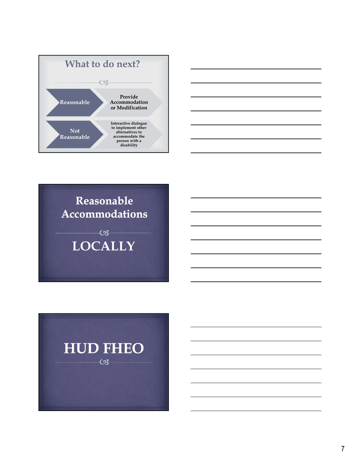



Reasonable Accommodations

> $-\infty$ **LOCALLY**

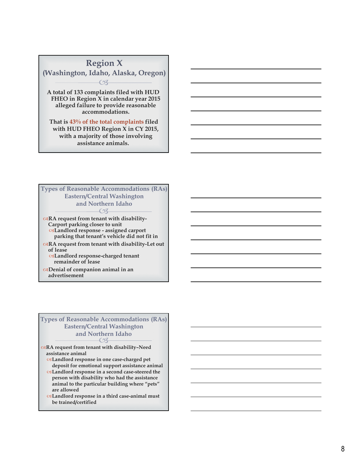

 $\epsilon$ **Types of Reasonable Accommodations (RAs) Eastern/Central Washington and Northern Idaho RA request from tenant with disability-Carport parking closer to unit Landlord response - assigned carport parking that tenant's vehicle did not fit in RA request from tenant with disability-Let out** 

**of lease Landlord response-charged tenant** 

**remainder of lease**

**Denial of companion animal in an advertisement**

#### $\epsilon$ **Types of Reasonable Accommodations (RAs) Eastern/Central Washington and Northern Idaho**

**RA request from tenant with disability–Need assistance animal** 

**Landlord response in one case-charged pet deposit for emotional support assistance animal**

**Landlord response in a second case-steered the person with disability who had the assistance animal to the particular building where "pets" are allowed**

**Landlord response in a third case-animal must be trained/certified**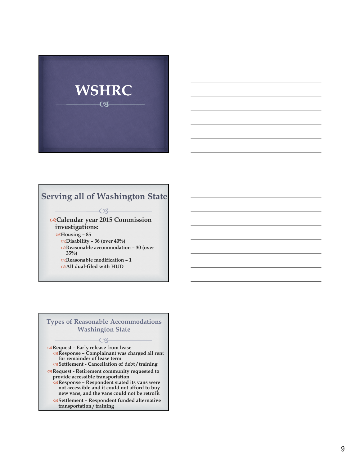

## **Serving all of Washington State**

 $CZ$ 

#### **Calendar year 2015 Commission investigations: Housing – 85 Disability – 36 (over 40%) Reasonable accommodation – 30 (over 35%) Reasonable modification – 1**

**All dual-filed with HUD**

#### **Types of Reasonable Accommodations Washington State**

 $CZ$ 

**Request – Early release from lease Response – Complainant was charged all rent for remainder of lease term Settlement - Cancellation of debt / training**

**Request - Retirement community requested to provide accessible transportation**

- **Response Respondent stated its vans were not accessible and it could not afford to buy new vans, and the vans could not be retrofit**
- **Settlement Respondent funded alternative transportation / training**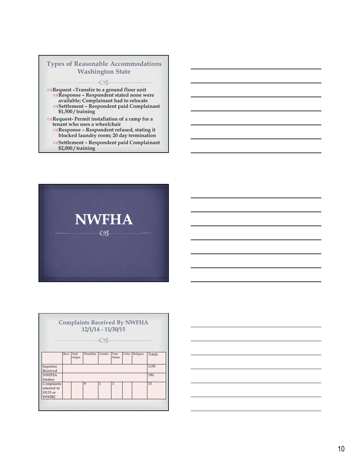### $CZ$ **Types of Reasonable Accommodations Washington State**

**Request –Transfer to a ground floor unit Response – Respondent stated none were available; Complainant had to relocate Settlement – Respondent paid Complainant \$1,500 / training**

**Request- Permit installation of a ramp for a tenant who uses a wheelchair**

- **Response Respondent refused, stating it blocked laundry room; 20 day termination**
- **Settlement Respondent paid Complainant \$2,000 / training**



| <b>Complaints Received By NWFHA</b><br>$12/1/14 - 11/30/15$ |      |                 |            |        |               |       |          |        |  |
|-------------------------------------------------------------|------|-----------------|------------|--------|---------------|-------|----------|--------|--|
|                                                             |      |                 |            |        |               |       |          |        |  |
|                                                             | Race | Natl.<br>Origin | Disability | Gender | Fam<br>Status | Color | Religion | Totals |  |
| Inquiries<br>Received                                       |      |                 |            |        |               |       |          | 1195   |  |
| <b>NWFHA</b><br><b>Intakes</b>                              |      |                 |            |        |               |       |          | 190    |  |
| Complaints<br>referred to<br>HUD or<br><b>WSHRC</b>         |      |                 | 9          | 1      | 3             |       |          | 13     |  |
|                                                             |      |                 |            |        |               |       |          |        |  |

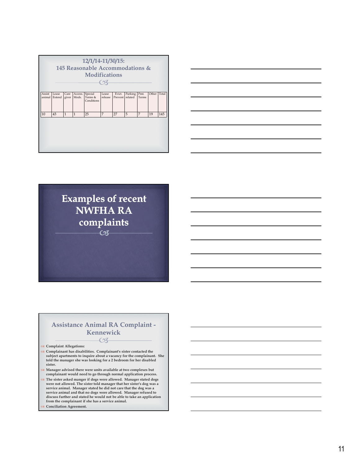| 12/1/14-11/30/15:<br>145 Reasonable Accommodations &<br><b>Modifications</b><br>$\curvearrowright$ |                 |               |                  |                                  |                  |                   |                    |               |       |       |
|----------------------------------------------------------------------------------------------------|-----------------|---------------|------------------|----------------------------------|------------------|-------------------|--------------------|---------------|-------|-------|
| Assist<br>animal                                                                                   | Lease<br>Extend | Care<br>giver | Access.<br>Mods. | Special<br>Terms &<br>Conditions | Lease<br>release | Evict.<br>Prevent | Parking<br>related | Pmt.<br>Terms | Other | Total |
| 10                                                                                                 | 43              | $\mathbf{1}$  | $\mathbf{1}$     | 25                               | 7                | 27                | 5                  | 7             | 19    | 145   |





#### $\overline{\mathcal{C}}$ **Assistance Animal RA Complaint - Kennewick**

**Complaint Allegations:**

- **Complainant has disabilities. Complainant's sister contacted the subject apartments to inquire about a vacancy for the complainant. She told the manager she was looking for a 2 bedroom for her disabled sister.**
- **Manager advised there were units available at two complexes but complainant would need to go through normal application process.**
- **The sister asked manger if dogs were allowed. Manager stated dogs were not allowed. The sister told manager that her sister's dog was a service animal. Manager stated he did not care that the dog was a service animal and that no dogs were allowed. Manager refused to discuss further and stated he would not be able to take an application from the complainant if she has a service animal.**
- **Conciliation Agreement.**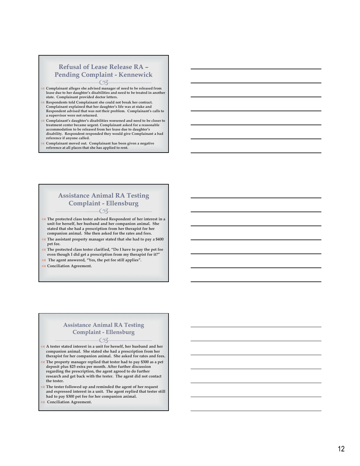### **Refusal of Lease Release RA – Pending Complaint - Kennewick**

- **Complainant alleges she advised manager of need to be released from lease due to her daughter's disabilities and need to be treated in another state. Complainant provided doctor letters.**
- **Respondents told Complainant she could not break her contract. Complainant explained that her daughter's life was at stake and Respondent advised that was not their problem. Complainant's calls to a supervisor were not returned.**
- **Complainant's daughter's disabilities worsened and need to be closer to treatment center became urgent. Complainant asked for a reasonable accommodation to be released from her lease due to daughter's disability. Respondent responded they would give Complainant a bad reference if anyone called.**
- **Complainant moved out. Complainant has been given a negative reference at all places that she has applied to rent.**

#### ra **Assistance Animal RA Testing Complaint - Ellensburg**

- **The protected class tester advised Respondent of her interest in a unit for herself, her husband and her companion animal. She stated that she had a prescription from her therapist for her companion animal. She then asked for the rates and fees.**
- **The assistant property manager stated that she had to pay a \$400 pet fee.**
- **The protected class tester clarified, "Do I have to pay the pet fee even though I did get a prescription from my therapist for it?"**
- **The agent answered, "Yes, the pet fee still applies".**
- **Conciliation Agreement.**

## **Assistance Animal RA Testing Complaint - Ellensburg**

- **A tester stated interest in a unit for herself, her husband and her companion animal. She stated she had a prescription from her therapist for her companion animal. She asked for rates and fees.**
- **The property manager replied that tester had to pay \$300 as a pet deposit plus \$25 extra per month. After further discussion regarding the prescription, the agent agreed to do further research and get back with the tester. The agent did not contact the tester.**
- **The tester followed up and reminded the agent of her request and expressed interest in a unit. The agent replied that tester still had to pay \$300 pet fee for her companion animal.**
- **Conciliation Agreement.**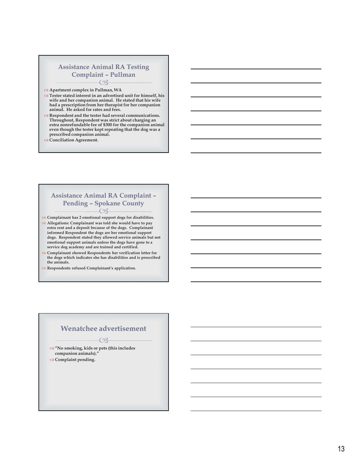#### $CZ$ **Assistance Animal RA Testing Complaint – Pullman**

#### **Apartment complex in Pullman, WA**

- **Tester stated interest in an advertised unit for himself, his wife and her companion animal. He stated that his wife had a prescription from her therapist for her companion animal. He asked for rates and fees.**
- **Respondent and the tester had several communications. Throughout, Respondent was strict about charging an extra nonrefundable fee of \$300 for the companion animal even though the tester kept repeating that the dog was a prescribed companion animal.**
- **Conciliation Agreement.**

#### $C3$ **Assistance Animal RA Complaint – Pending – Spokane County**

**Complainant has 2 emotional support dogs for disabilities.** 

- **Allegations: Complainant was told she would have to pay extra rent and a deposit because of the dogs. Complainant informed Respondent the dogs are her emotional support dogs. Respondent stated they allowed service animals but not emotional support animals unless the dogs have gone to a service dog academy and are trained and certified.**
- **Complainant showed Respondents her verification letter for the dogs which indicates she has disabilities and is prescribed the animals.**
- **Respondents refused Complainant's application.**

## $CZ$ **Wenatchee advertisement**

 **"No smoking, kids or pets (this includes companion animals)."** 

**Complaint pending.**